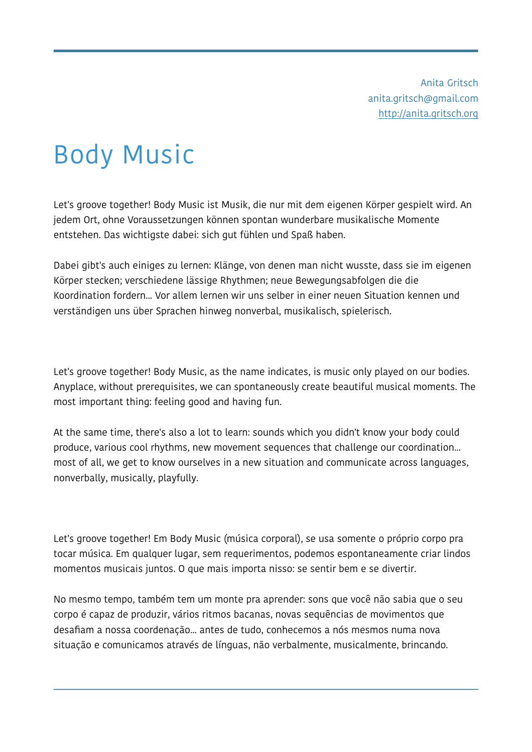Anita Gritsch [anita.gritsch@gmail.com](mailto:anita.gritsch@gmail.com) <http://anita.gritsch.org>

## Body Music

Let's groove together! Body Music ist Musik, die nur mit dem eigenen Körper gespielt wird. An jedem Ort, ohne Voraussetzungen können spontan wunderbare musikalische Momente entstehen. Das wichtigste dabei: sich gut fühlen und Spaß haben.

Dabei gibt's auch einiges zu lernen: Klänge, von denen man nicht wusste, dass sie im eigenen Körper stecken; verschiedene lässige Rhythmen; neue Bewegungsabfolgen die die Koordination fordern... Vor allem lernen wir uns selber in einer neuen Situation kennen und verständigen uns über Sprachen hinweg nonverbal, musikalisch, spielerisch.

Let's groove together! Body Music, as the name indicates, is music only played on our bodies. Anyplace, without prerequisites, we can spontaneously create beautiful musical moments. The most important thing: feeling good and having fun.

At the same time, there's also a lot to learn: sounds which you didn't know your body could produce, various cool rhythms, new movement sequences that challenge our coordination... most of all, we get to know ourselves in a new situation and communicate across languages, nonverbally, musically, playfully.

Let's groove together! Em Body Music (música corporal), se usa somente o próprio corpo pra tocar música. Em qualquer lugar, sem requerimentos, podemos espontaneamente criar lindos momentos musicais juntos. O que mais importa nisso: se sentir bem e se divertir.

No mesmo tempo, também tem um monte pra aprender: sons que você não sabia que o seu corpo é capaz de produzir, vários ritmos bacanas, novas sequências de movimentos que desafiam a nossa coordenação... antes de tudo, conhecemos a nós mesmos numa nova situação e comunicamos através de línguas, não verbalmente, musicalmente, brincando.